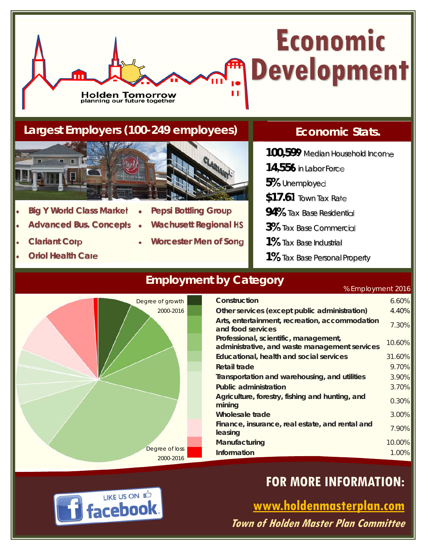# **Economic Development** Ĥ

### **Largest Employers (100-249 employees)**

Holden Tomorrow<br>planning our future together



- **Big Y World Class Market Pepsi Bottling Group**
- **Advanced Bus. Concepts Wachusett Regional HS**
- **Clariant Corp Worcester Men of Song**
- **Oriol Health Care**
- Degree of loss 2000-2016 Degree of growth 2000-2016

### **Employment by Category**

### **Economic Stats.**

- **100,599** Median Household Income
- **14,556** in Labor Force
- **5%** Unemployed
- **\$17.61** Town Tax Rate
- **94%** Tax Base Residential
- **3%** Tax Base Commercial
- **1%** Tax Base Industrial
- **1%** Tax Base Personal Property

% Employment 2016

| Construction                                                                           | 6.60%  |
|----------------------------------------------------------------------------------------|--------|
| Other services (except public administration)                                          | 4.40%  |
| Arts, entertainment, recreation, accommodation<br>and food services                    | 7.30%  |
| Professional, scientific, management,<br>administrative, and waste management services | 10.60% |
| Educational, health and social services                                                | 31.60% |
| Retail trade                                                                           | 9.70%  |
| Transportation and warehousing, and utilities                                          | 3.90%  |
| <b>Public administration</b>                                                           | 3.70%  |
| Agriculture, forestry, fishing and hunting, and<br>mining                              | 0.30%  |
| Wholesale trade                                                                        | 3.00%  |
| Finance, insurance, real estate, and rental and<br>leasing                             | 7.90%  |
| Manufacturing                                                                          | 10.00% |
| Information                                                                            | 1.00%  |

# **FOR MORE INFORMATION:**

**www.holdenmasterplan.com Town of Holden Master Plan Committee**